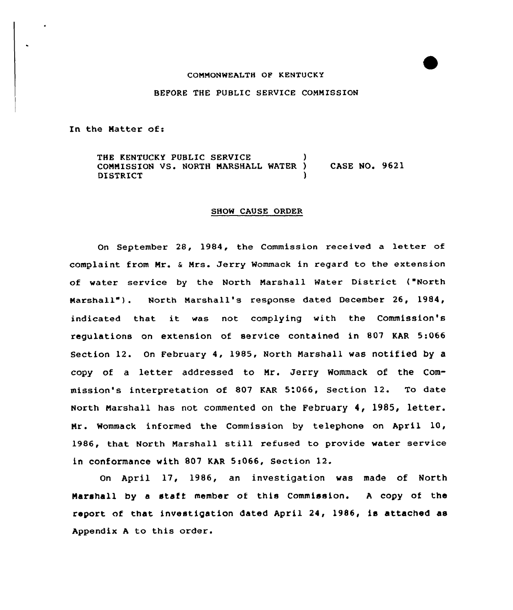### COMMONWEALTH OP KENTUCKY

### BEFORE THE PUBLIC SERVICE COMMISSION

In the Matter of:

THE KENTUCKY PUBLIC SERVICE COMMISSION VS. NORTH MARSHALL WATER ) CASE NO. 9621 **DISTRICT** 

### SHOW CAUSE ORDER

On September 28, 1984, the Commission received a letter of complaint from Mr. & Mrs. Jerry Wommack in regard to the extension of water service by the North Marshall Water District ("North Marshall"). North Marshall's response dated December 26, 1984, indicated that it was not complying with the Commission's regulations on extension of service contained in 807 KAR 5:066 Section 12. On February 4, 1985, North Marshall was notified by a copy of <sup>a</sup> letter addressed to Mr. Jerry Wommack of the Commission's interpretation of 807 KAR 5:066, Section 12. To date North Marshall has not commented on the February 4, 1985, letter. Mr. Wommack informed the Commission by telephone on April 10, 1986, that North Marshall still refused to provide water service in conformance with 807 KAR 5:066, Section 12.

On April 17, 1986, an investigation was made of North Marshall by a staff member of this Commission. A copy of the report af that investigation dated April 24, 1986, is attached as Appendix <sup>A</sup> to this order.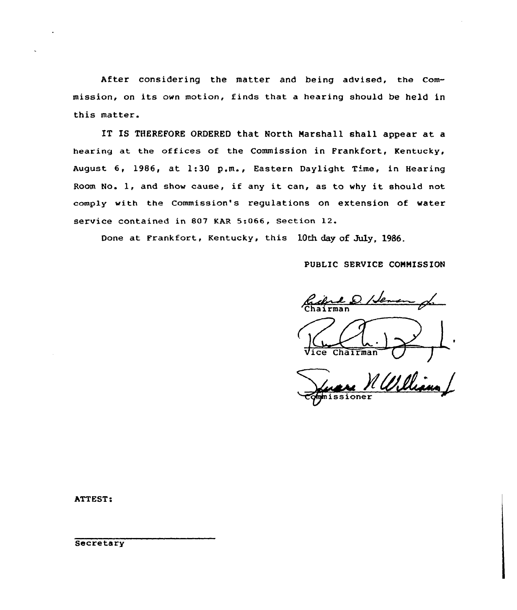After considering the matter and being advised, the Commission, on its own motion, finds that <sup>a</sup> hearing should be held in this matter.

IT IS THEREFORE ORDERED that North Marshall shall appear at a hearing at the offices of the Commission in Frankfort, Kentucky. August 6, 1986, at 1:30 p.m., Eastern Daylight Time, in Hearing Room No. 1, and show cause, if any it can, as to why it should not comply with the Commission's regulations on extension of water service contained in 807 KAR 5:066, section 12.

Done at Frankfort, Kentucky, this 10th day of July, 1986.

PUBLIC SERVICE COMMISSION

/Je-'Chairman Vice Chairman

Ve Williams

ATTEST:

**Secretary**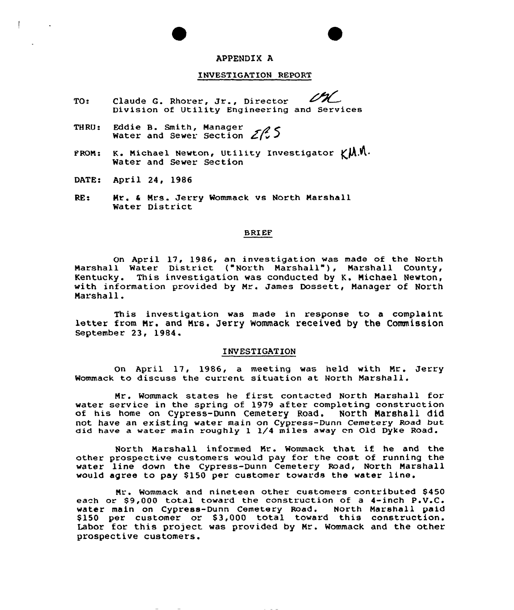## APPENDIX A

### INVESTIGATION REPORT

- TO: Claude G. Rhorer, Jr., Director Division of Utility Engineering and Services
- TH RU: Eddie B. Smith, Manager Water and Sewer Section  $Z\mathcal{L}$
- FROM: K. Michael Newton, Utility Investigator  $\gamma M$ . Water and Sewer Section
- DATE: April 24, 1986
- RE: Mr. <sup>4</sup> Nrs. Jerry Wommack vs North Marshall Water District

# **BRIEF**

On April 17, 1986, an investigation was made of the North Marshall Water District ("North Marshall"), Narshall County, Kentucky. This investigation was conducted by K. Nichael Newton, with information provided by Mr. James Dossett, Manager of North Marshall.

This investigation was made in response to <sup>a</sup> complaint letter from Nr. and Nrs. Jerry Wommack received by the Commission September 23, 1984.

#### INVESTIGATION

On April 17, 1986, a meeting was held with Nr. Jerry Wommack to discuss the current situation at North Marshall.

Mr. Wommack states he first contacted North Marshall for water service in the spring of 1979 after completing construction of his home on Cypress-Dunn Cemetery Road. North Marshall did not have an existing water main on Cypress-Dunn Cemetery Road but did have a water main roughly I I/4 miles away cn Old Dyke Road.

North Narshall informed Nr. Wommack that if he and the other prospective customers would pay for the cost of running the water line down the Cypress-Dunn Cemetery Road, North Marshall would agree to pay \$150 per customer towards the water line.

Nr. Wommack and nineteen other customers contributed \$ 450 each or \$9,000 total toward the construction of a 4-inch P.V.C. water main on Cypress-Dunn Cemetery Road. North Marshall paid<br>\$150 per customer or \$3,000 total toward this construction Labor for this project was provided by Mr. Wommack and the other prospective customers.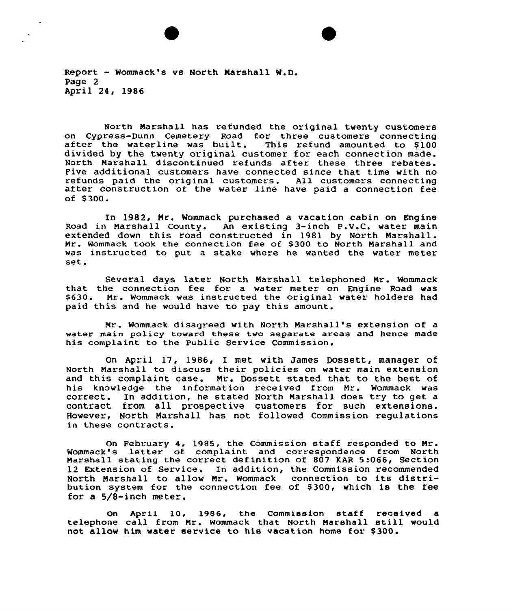Report - Wommack's vs North Marshall W.D. Page 2 April 24, 1986

North Marshall has refunded the original twenty customers on Cypress-Dunn Cemetery Road for three customers connecting<br>after the waterline was built. This refund amounted to \$100 divided by the twenty original customer for each connection made. North Marshall discontinued refunds after these three rebates. Five additional customers have connected since that time with no refunds paid the original customers. All customers connecting<br>after construction of the water line have paid a connection fee of \$ 300.

In 1982, Mr. Wommack purchased a vacation cabin on Engine Road in Marshall County. An existing 3-inch P.V.C. water main extended down this road constructed in 1981 by North Marshall. Mr. Wommack took the connection fee of \$ 300 to North Marshall and was instructed to put a stake where he wanted the water meter set.

Several days later North Marshall telephoned Mr. Wommack that the connection fee for a water meter on Engine Road was \$ 630. Mr. Wommack was instructed the original water holders had paid this and he would have to pay this amount.

Mr. Wommack disagreed with North Marshall's extension of a water main policy toward these two separate areas and hence made his complaint to the Public Service Commission.

On April 17, 1986, I met with James Dossett, manager of North Marshall to discuss their policies on water main extension and this complaint case. Mr. Dossett stated that to the best of his knowledge the information received from Mr. Wommack was correct. In addition, he stated North Marshall does try to get a contract from all prospective customers for such extensions. However, North Marshall has not followed Commission regulations in these contracts.

On February 4, 1985, the Commission staff responded to Mr. Wommack's letter of complaint and correspondence from North Marshall stating the correct definition of 807 KAR 5:066, Section 12 Extension of Service. In addition, the Commission recommended North Marshall to allow Mr. Wommack connection to its distribution system for the connection fee of \$ 300, which is the fee for a 5/8-inch meter.

On April 10, 1986, the Commission staff received a telephone call from Mr. Wommack that North Marshall still would not allow him water service to his vacation home for \$ 300.